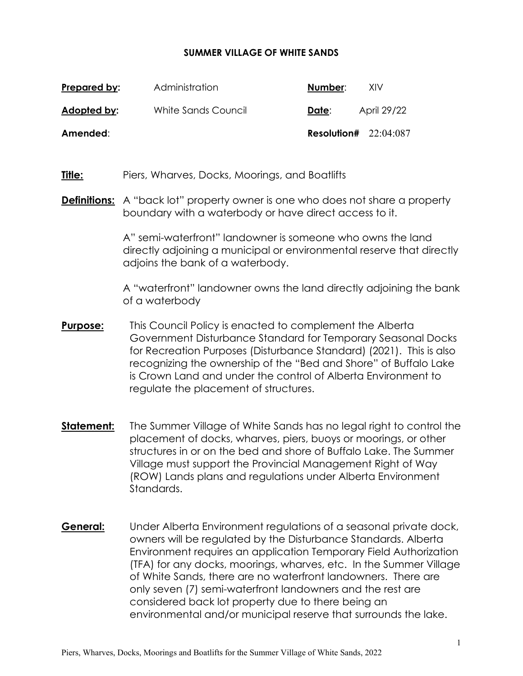### **SUMMER VILLAGE OF WHITE SANDS**

| Prepared by: | Administration      | Number:                 | <b>XIV</b>  |
|--------------|---------------------|-------------------------|-------------|
| Adopted by:  | White Sands Council | Date:                   | April 29/22 |
| Amended:     |                     | Resolution# $22:04:087$ |             |

**Title:** Piers, Wharves, Docks, Moorings, and Boatlifts

## **Definitions:** A "back lot" property owner is one who does not share a property boundary with a waterbody or have direct access to it.

A" semi-waterfront" landowner is someone who owns the land directly adjoining a municipal or environmental reserve that directly adjoins the bank of a waterbody.

A "waterfront" landowner owns the land directly adjoining the bank of a waterbody

- **Purpose:** This Council Policy is enacted to complement the Alberta Government Disturbance Standard for Temporary Seasonal Docks for Recreation Purposes (Disturbance Standard) (2021). This is also recognizing the ownership of the "Bed and Shore" of Buffalo Lake is Crown Land and under the control of Alberta Environment to regulate the placement of structures.
- **Statement:** The Summer Village of White Sands has no legal right to control the placement of docks, wharves, piers, buoys or moorings, or other structures in or on the bed and shore of Buffalo Lake. The Summer Village must support the Provincial Management Right of Way (ROW) Lands plans and regulations under Alberta Environment Standards.
- **General:** Under Alberta Environment regulations of a seasonal private dock, owners will be regulated by the Disturbance Standards. Alberta Environment requires an application Temporary Field Authorization (TFA) for any docks, moorings, wharves, etc. In the Summer Village of White Sands, there are no waterfront landowners. There are only seven (7) semi-waterfront landowners and the rest are considered back lot property due to there being an environmental and/or municipal reserve that surrounds the lake.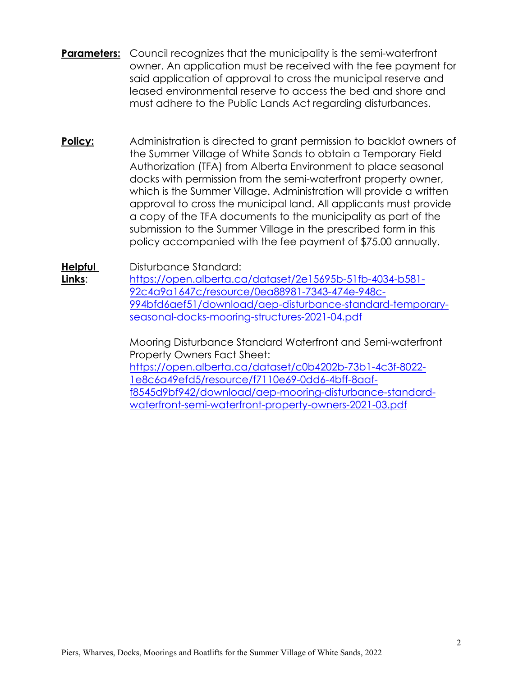- **Parameters:** Council recognizes that the municipality is the semi-waterfront owner. An application must be received with the fee payment for said application of approval to cross the municipal reserve and leased environmental reserve to access the bed and shore and must adhere to the Public Lands Act regarding disturbances.
- **Policy:** Administration is directed to grant permission to backlot owners of the Summer Village of White Sands to obtain a Temporary Field Authorization (TFA) from Alberta Environment to place seasonal docks with permission from the semi-waterfront property owner, which is the Summer Village. Administration will provide a written approval to cross the municipal land. All applicants must provide a copy of the TFA documents to the municipality as part of the submission to the Summer Village in the prescribed form in this policy accompanied with the fee payment of \$75.00 annually.

**Helpful**  Disturbance Standard:

**Links**:

[https://open.alberta.ca/dataset/2e15695b-51fb-4034-b581-](https://open.alberta.ca/dataset/2e15695b-51fb-4034-b581-92c4a9a1647c/resource/0ea88981-7343-474e-948c-994bfd6aef51/download/aep-disturbance-standard-temporary-seasonal-docks-mooring-structures-2021-04.pdf) [92c4a9a1647c/resource/0ea88981-7343-474e-948c-](https://open.alberta.ca/dataset/2e15695b-51fb-4034-b581-92c4a9a1647c/resource/0ea88981-7343-474e-948c-994bfd6aef51/download/aep-disturbance-standard-temporary-seasonal-docks-mooring-structures-2021-04.pdf)[994bfd6aef51/download/aep-disturbance-standard-temporary](https://open.alberta.ca/dataset/2e15695b-51fb-4034-b581-92c4a9a1647c/resource/0ea88981-7343-474e-948c-994bfd6aef51/download/aep-disturbance-standard-temporary-seasonal-docks-mooring-structures-2021-04.pdf)[seasonal-docks-mooring-structures-2021-04.pdf](https://open.alberta.ca/dataset/2e15695b-51fb-4034-b581-92c4a9a1647c/resource/0ea88981-7343-474e-948c-994bfd6aef51/download/aep-disturbance-standard-temporary-seasonal-docks-mooring-structures-2021-04.pdf) 

Mooring Disturbance Standard Waterfront and Semi-waterfront Property Owners Fact Sheet: [https://open.alberta.ca/dataset/c0b4202b-73b1-4c3f-8022-](https://open.alberta.ca/dataset/c0b4202b-73b1-4c3f-8022-1e8c6a49efd5/resource/f7110e69-0dd6-4bff-8aaf-f8545d9bf942/download/aep-mooring-disturbance-standard-waterfront-semi-waterfront-property-owners-2021-03.pdf) [1e8c6a49efd5/resource/f7110e69-0dd6-4bff-8aaf](https://open.alberta.ca/dataset/c0b4202b-73b1-4c3f-8022-1e8c6a49efd5/resource/f7110e69-0dd6-4bff-8aaf-f8545d9bf942/download/aep-mooring-disturbance-standard-waterfront-semi-waterfront-property-owners-2021-03.pdf)[f8545d9bf942/download/aep-mooring-disturbance-standard](https://open.alberta.ca/dataset/c0b4202b-73b1-4c3f-8022-1e8c6a49efd5/resource/f7110e69-0dd6-4bff-8aaf-f8545d9bf942/download/aep-mooring-disturbance-standard-waterfront-semi-waterfront-property-owners-2021-03.pdf)[waterfront-semi-waterfront-property-owners-2021-03.pdf](https://open.alberta.ca/dataset/c0b4202b-73b1-4c3f-8022-1e8c6a49efd5/resource/f7110e69-0dd6-4bff-8aaf-f8545d9bf942/download/aep-mooring-disturbance-standard-waterfront-semi-waterfront-property-owners-2021-03.pdf)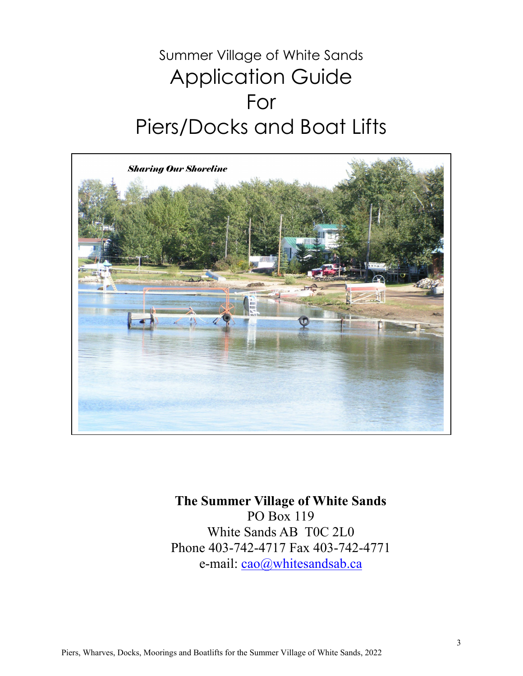## Summer Village of White Sands Application Guide For Piers/Docks and Boat Lifts



## **The Summer Village of White Sands** PO Box 119 White Sands AB T0C 2L0 Phone 403-742-4717 Fax 403-742-4771

e-mail: cao@whitesandsab.ca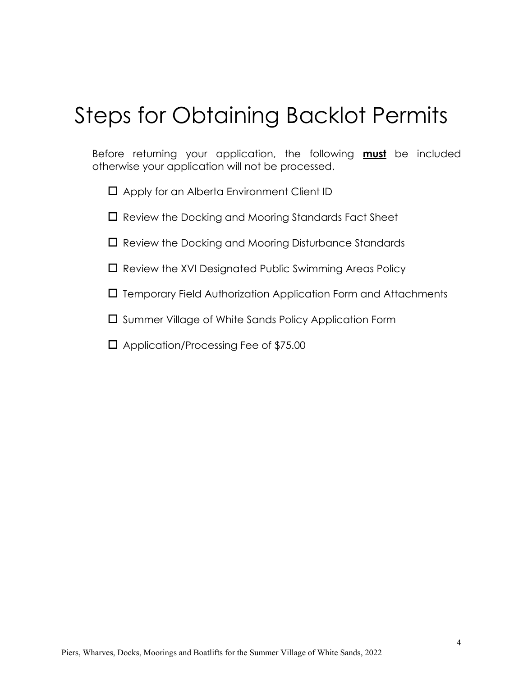# Steps for Obtaining Backlot Permits

Before returning your application, the following **must** be included otherwise your application will not be processed.

 $\Box$  Apply for an Alberta Environment Client ID

 $\square$  Review the Docking and Mooring Standards Fact Sheet

 $\square$  Review the Docking and Mooring Disturbance Standards

 $\square$  Review the XVI Designated Public Swimming Areas Policy

 $\Box$  Temporary Field Authorization Application Form and Attachments

 $\square$  Summer Village of White Sands Policy Application Form

□ Application/Processing Fee of \$75.00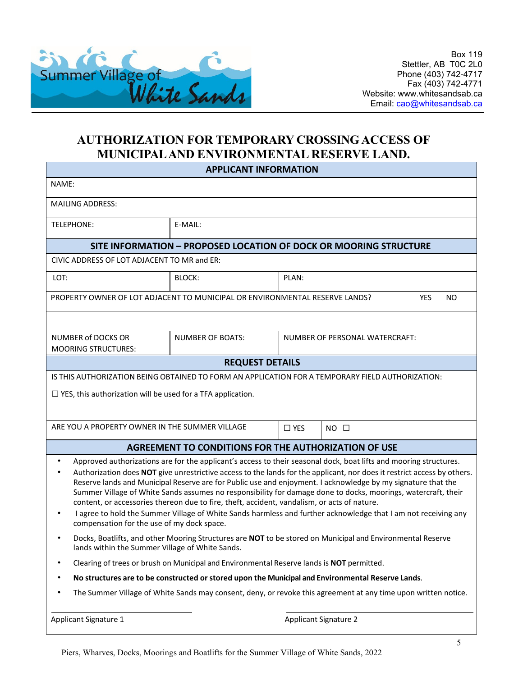

## **AUTHORIZATION FOR TEMPORARY CROSSING ACCESS OF MUNICIPAL AND ENVIRONMENTAL RESERVE LAND.**

| <b>APPLICANT INFORMATION</b>                                                                                                                                                                                                                                                                                                                                                                                                                                                                                                                                                                                                                                                                                                                           |                                                      |                                |                |  |  |
|--------------------------------------------------------------------------------------------------------------------------------------------------------------------------------------------------------------------------------------------------------------------------------------------------------------------------------------------------------------------------------------------------------------------------------------------------------------------------------------------------------------------------------------------------------------------------------------------------------------------------------------------------------------------------------------------------------------------------------------------------------|------------------------------------------------------|--------------------------------|----------------|--|--|
| NAME:                                                                                                                                                                                                                                                                                                                                                                                                                                                                                                                                                                                                                                                                                                                                                  |                                                      |                                |                |  |  |
| <b>MAILING ADDRESS:</b>                                                                                                                                                                                                                                                                                                                                                                                                                                                                                                                                                                                                                                                                                                                                |                                                      |                                |                |  |  |
| <b>TELEPHONE:</b>                                                                                                                                                                                                                                                                                                                                                                                                                                                                                                                                                                                                                                                                                                                                      | E-MAIL:                                              |                                |                |  |  |
| SITE INFORMATION - PROPOSED LOCATION OF DOCK OR MOORING STRUCTURE                                                                                                                                                                                                                                                                                                                                                                                                                                                                                                                                                                                                                                                                                      |                                                      |                                |                |  |  |
| CIVIC ADDRESS OF LOT ADJACENT TO MR and ER:                                                                                                                                                                                                                                                                                                                                                                                                                                                                                                                                                                                                                                                                                                            |                                                      |                                |                |  |  |
| LOT:                                                                                                                                                                                                                                                                                                                                                                                                                                                                                                                                                                                                                                                                                                                                                   | BLOCK:                                               | PLAN:                          |                |  |  |
| PROPERTY OWNER OF LOT ADJACENT TO MUNICIPAL OR ENVIRONMENTAL RESERVE LANDS?<br><b>YES</b><br><b>NO</b>                                                                                                                                                                                                                                                                                                                                                                                                                                                                                                                                                                                                                                                 |                                                      |                                |                |  |  |
|                                                                                                                                                                                                                                                                                                                                                                                                                                                                                                                                                                                                                                                                                                                                                        |                                                      |                                |                |  |  |
| <b>NUMBER of DOCKS OR</b><br><b>MOORING STRUCTURES:</b>                                                                                                                                                                                                                                                                                                                                                                                                                                                                                                                                                                                                                                                                                                | <b>NUMBER OF BOATS:</b>                              | NUMBER OF PERSONAL WATERCRAFT: |                |  |  |
| <b>REQUEST DETAILS</b>                                                                                                                                                                                                                                                                                                                                                                                                                                                                                                                                                                                                                                                                                                                                 |                                                      |                                |                |  |  |
| IS THIS AUTHORIZATION BEING OBTAINED TO FORM AN APPLICATION FOR A TEMPORARY FIELD AUTHORIZATION:                                                                                                                                                                                                                                                                                                                                                                                                                                                                                                                                                                                                                                                       |                                                      |                                |                |  |  |
| $\Box$ YES, this authorization will be used for a TFA application.                                                                                                                                                                                                                                                                                                                                                                                                                                                                                                                                                                                                                                                                                     |                                                      |                                |                |  |  |
|                                                                                                                                                                                                                                                                                                                                                                                                                                                                                                                                                                                                                                                                                                                                                        |                                                      |                                |                |  |  |
| ARE YOU A PROPERTY OWNER IN THE SUMMER VILLAGE                                                                                                                                                                                                                                                                                                                                                                                                                                                                                                                                                                                                                                                                                                         |                                                      | $\Box$ YES                     | $NO$ $\square$ |  |  |
|                                                                                                                                                                                                                                                                                                                                                                                                                                                                                                                                                                                                                                                                                                                                                        | AGREEMENT TO CONDITIONS FOR THE AUTHORIZATION OF USE |                                |                |  |  |
| Approved authorizations are for the applicant's access to their seasonal dock, boat lifts and mooring structures.<br>٠<br>Authorization does NOT give unrestrictive access to the lands for the applicant, nor does it restrict access by others.<br>Reserve lands and Municipal Reserve are for Public use and enjoyment. I acknowledge by my signature that the<br>Summer Village of White Sands assumes no responsibility for damage done to docks, moorings, watercraft, their<br>content, or accessories thereon due to fire, theft, accident, vandalism, or acts of nature.<br>I agree to hold the Summer Village of White Sands harmless and further acknowledge that I am not receiving any<br>٠<br>compensation for the use of my dock space. |                                                      |                                |                |  |  |
| Docks, Boatlifts, and other Mooring Structures are NOT to be stored on Municipal and Environmental Reserve<br>lands within the Summer Village of White Sands.                                                                                                                                                                                                                                                                                                                                                                                                                                                                                                                                                                                          |                                                      |                                |                |  |  |
| Clearing of trees or brush on Municipal and Environmental Reserve lands is NOT permitted.                                                                                                                                                                                                                                                                                                                                                                                                                                                                                                                                                                                                                                                              |                                                      |                                |                |  |  |
| No structures are to be constructed or stored upon the Municipal and Environmental Reserve Lands.                                                                                                                                                                                                                                                                                                                                                                                                                                                                                                                                                                                                                                                      |                                                      |                                |                |  |  |
| The Summer Village of White Sands may consent, deny, or revoke this agreement at any time upon written notice.                                                                                                                                                                                                                                                                                                                                                                                                                                                                                                                                                                                                                                         |                                                      |                                |                |  |  |
| <b>Applicant Signature 2</b><br>Applicant Signature 1                                                                                                                                                                                                                                                                                                                                                                                                                                                                                                                                                                                                                                                                                                  |                                                      |                                |                |  |  |